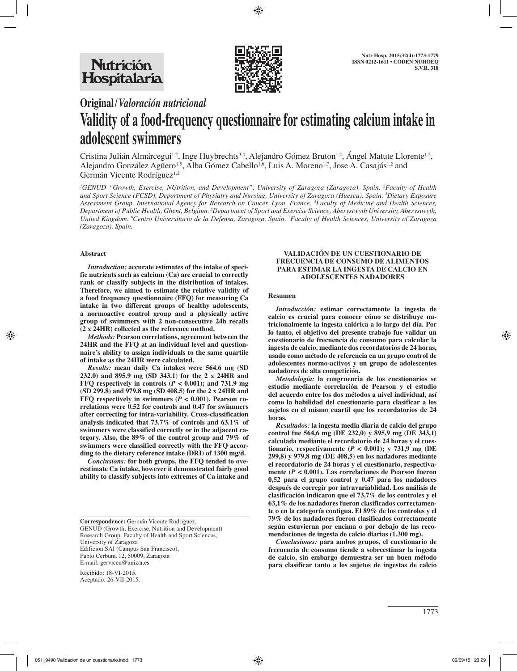

**Original/***Valoración nutricional*

# **Validity of a food-frequency questionnaire for estimating calcium intake in adolescent swimmers**

Cristina Julián Almárcegui<sup>1,2</sup>, Inge Huybrechts<sup>3,4</sup>, Alejandro Gómez Bruton<sup>1,2</sup>, Ángel Matute Llorente<sup>1,2</sup>, Alejandro González Agüero<sup>1,5</sup>, Alba Gómez Cabello<sup>1,6</sup>, Luis A. Moreno<sup>1,7</sup>, Jose A. Casajús<sup>1,2</sup> and Germán Vicente Rodríguez<sup>1,2</sup>

<sup>1</sup>GENUD "Growth, Exercise, NUtrition, and Development", University of Zaragoza (Zaragoza), Spain. <sup>2</sup>Faculty of Health *and Sport Science (FCSD), Department of Physiatry and Nursing, University of Zaragoza (Huesca), Spain. 3 Dietary Exposure Assessment Group, International Agency for Research on Cancer, Lyon, France. 4 Faculty of Medicine and Health Sciences, Department of Public Health, Ghent, Belgium. 5 Department of Sport and Exercise Science, Aberystwyth University, Aberystwyth, United Kingdom. 6 Centro Universitario de la Defensa, Zaragoza, Spain. 7 Faculty of Health Sciences, University of Zaragoza (Zaragoza), Spain.*

## **Abstract**

*Introduction:* **accurate estimates of the intake of specific nutrients such as calcium (Ca) are crucial to correctly rank or classify subjects in the distribution of intakes. Therefore, we aimed to estimate the relative validity of a food frequency questionnaire (FFQ) for measuring Ca intake in two different groups of healthy adolescents, a normoactive control group and a physically active group of swimmers with 2 non-consecutive 24h recalls (2 x 24HR) collected as the reference method.** 

*Methods:* **Pearson correlations, agreement between the 24HR and the FFQ at an individual level and questionnaire's ability to assign individuals to the same quartile of intake as the 24HR were calculated.** 

*Results:* **mean daily Ca intakes were 564.6 mg (SD 232.0) and 895.9 mg (SD 343.1) for the 2 x 24HR and FFQ respectively in controls**  $(P < 0.001)$ **; and 731.9 mg (SD 299.8) and 979.8 mg (SD 408.5) for the 2 x 24HR and FFQ respectively in swimmers (** $P < 0.001$ **). Pearson correlations were 0.52 for controls and 0.47 for swimmers after correcting for intra-variability. Cross-classification analysis indicated that 73.7% of controls and 63.1% of swimmers were classified correctly or in the adjacent category. Also, the 89% of the control group and 79% of swimmers were classified correctly with the FFQ according to the dietary reference intake (DRI) of 1300 mg/d.** 

*Conclusions:* **for both groups, the FFQ tended to overestimate Ca intake, however it demonstrated fairly good ability to classify subjects into extremes of Ca intake and** 

Recibido: 18-VI-2015. Aceptado: 26-VII-2015.

#### **VALIDACIÓN DE UN CUESTIONARIO DE FRECUENCIA DE CONSUMO DE ALIMENTOS PARA ESTIMAR LA INGESTA DE CALCIO EN ADOLESCENTES NADADORES**

### **Resumen**

*Introducción:* **estimar correctamente la ingesta de calcio es crucial para conocer cómo se distribuye nutricionalmente la ingesta calórica a lo largo del día. Por lo tanto, el objetivo del presente trabajo fue validar un cuestionario de frecuencia de consumo para calcular la ingesta de calcio, mediante dos recordatorios de 24 horas, usado como método de referencia en un grupo control de adolescentes normo-activos y un grupo de adolescentes nadadores de alta competición.** 

*Metodología:* **la congruencia de los cuestionarios se estudio mediante correlación de Pearson y el estudio del acuerdo entre los dos métodos a nivel individual, así como la habilidad del cuestionario para clasificar a los sujetos en el mismo cuartil que los recordatorios de 24 horas.** 

*Resultados:* **la ingesta media diaria de calcio del grupo control fue 564,6 mg (DE 232,0) y 895,9 mg (DE 343,1) calculada mediante el recordatorio de 24 horas y el cuestionario, respectivamente**  $(P < 0.001)$ ; y 731,9 mg (DE **299,8) y 979,8 mg (DE 408,5) en los nadadores mediante el recordatorio de 24 horas y el cuestionario, respectivamente (***P* **< 0.001). Las correlaciones de Pearson fueron 0,52 para el grupo control y 0,47 para los nadadores después de corregir por intravariablidad. Los análisis de clasificación indicaron que el 73,7% de los controles y el 63,1% de los nadadores fueron clasificados correctamente o en la categoría contigua. El 89% de los controles y el 79% de los nadadores fueron clasificados correctamente según estuvieran por encima o por debajo de las recomendaciones de ingesta de calcio diarias (1.300 mg).** 

*Conclusiones:* **para ambos grupos, el cuestionario de frecuencia de consumo tiende a sobreestimar la ingesta de calcio, sin embargo demuestra ser un buen método para clasificar tanto a los sujetos de ingestas de calcio** 

**Correspondence:** Germán Vicente Rodríguez. GENUD (Growth, Exercise, Nutrition and Development) Research Group. Faculty of Health and Sport Sciences, University of Zaragoza Edificion SAI (Campus San Francisco), Pablo Cerbuna 12, 50009, Zaragoza E-mail: gervicen@unizar.es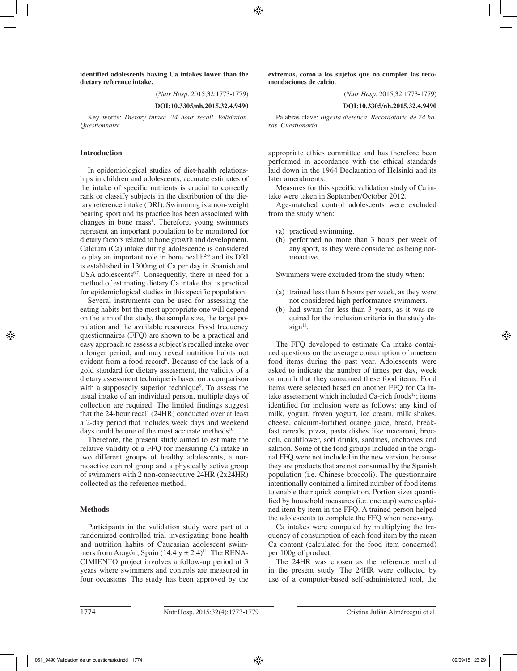**identified adolescents having Ca intakes lower than the dietary reference intake.**

(*Nutr Hosp.* 2015;32:1773-1779)

**DOI:10.3305/nh.2015.32.4.9490**

Key words: *Dietary intake. 24 hour recall. Validation. Questionnaire.*

#### **Introduction**

In epidemiological studies of diet-health relationships in children and adolescents, accurate estimates of the intake of specific nutrients is crucial to correctly rank or classify subjects in the distribution of the dietary reference intake (DRI). Swimming is a non-weight bearing sport and its practice has been associated with changes in bone mass<sup>1</sup>. Therefore, young swimmers represent an important population to be monitored for dietary factors related to bone growth and development. Calcium (Ca) intake during adolescence is considered to play an important role in bone health $2-5$  and its DRI is established in 1300mg of Ca per day in Spanish and USA adolescents<sup>6,7</sup>. Consequently, there is need for a method of estimating dietary Ca intake that is practical for epidemiological studies in this specific population.

Several instruments can be used for assessing the eating habits but the most appropriate one will depend on the aim of the study, the sample size, the target population and the available resources. Food frequency questionnaires (FFQ) are shown to be a practical and easy approach to assess a subject's recalled intake over a longer period, and may reveal nutrition habits not evident from a food record<sup>8</sup>. Because of the lack of a gold standard for dietary assessment, the validity of a dietary assessment technique is based on a comparison with a supposedly superior technique<sup>9</sup>. To assess the usual intake of an individual person, multiple days of collection are required. The limited findings suggest that the 24-hour recall (24HR) conducted over at least a 2-day period that includes week days and weekend days could be one of the most accurate methods $10$ .

Therefore, the present study aimed to estimate the relative validity of a FFQ for measuring Ca intake in two different groups of healthy adolescents, a normoactive control group and a physically active group of swimmers with 2 non-consecutive 24HR (2x24HR) collected as the reference method.

#### **Methods**

Participants in the validation study were part of a randomized controlled trial investigating bone health and nutrition habits of Caucasian adolescent swimmers from Aragón, Spain (14.4 y  $\pm$  2.4)<sup>11</sup>. The RENA-CIMIENTO project involves a follow-up period of 3 years where swimmers and controls are measured in four occasions. The study has been approved by the **extremas, como a los sujetos que no cumplen las recomendaciones de calcio.**

(*Nutr Hosp.* 2015;32:1773-1779)

#### **DOI:10.3305/nh.2015.32.4.9490**

Palabras clave: *Ingesta dietética. Recordatorio de 24 horas. Cuestionario.*

appropriate ethics committee and has therefore been performed in accordance with the ethical standards laid down in the 1964 Declaration of Helsinki and its later amendments.

Measures for this specific validation study of Ca intake were taken in September/October 2012.

Age-matched control adolescents were excluded from the study when:

- (a) practiced swimming.
- (b) performed no more than 3 hours per week of any sport, as they were considered as being normoactive.

Swimmers were excluded from the study when:

- (a) trained less than 6 hours per week, as they were not considered high performance swimmers.
- (b) had swum for less than 3 years, as it was required for the inclusion criteria in the study de $sign<sup>11</sup>$ .

The FFQ developed to estimate Ca intake contained questions on the average consumption of nineteen food items during the past year. Adolescents were asked to indicate the number of times per day, week or month that they consumed these food items. Food items were selected based on another FFQ for Ca intake assessment which included Ca-rich foods<sup>12</sup>; items identified for inclusion were as follows: any kind of milk, yogurt, frozen yogurt, ice cream, milk shakes, cheese, calcium-fortified orange juice, bread, breakfast cereals, pizza, pasta dishes like macaroni, broccoli, cauliflower, soft drinks, sardines, anchovies and salmon. Some of the food groups included in the original FFQ were not included in the new version, because they are products that are not consumed by the Spanish population (i.e. Chinese broccoli). The questionnaire intentionally contained a limited number of food items to enable their quick completion. Portion sizes quantified by household measures (i.e. one cup) were explained item by item in the FFQ. A trained person helped the adolescents to complete the FFQ when necessary.

Ca intakes were computed by multiplying the frequency of consumption of each food item by the mean Ca content (calculated for the food item concerned) per 100g of product.

The 24HR was chosen as the reference method in the present study. The 24HR were collected by use of a computer-based self-administered tool, the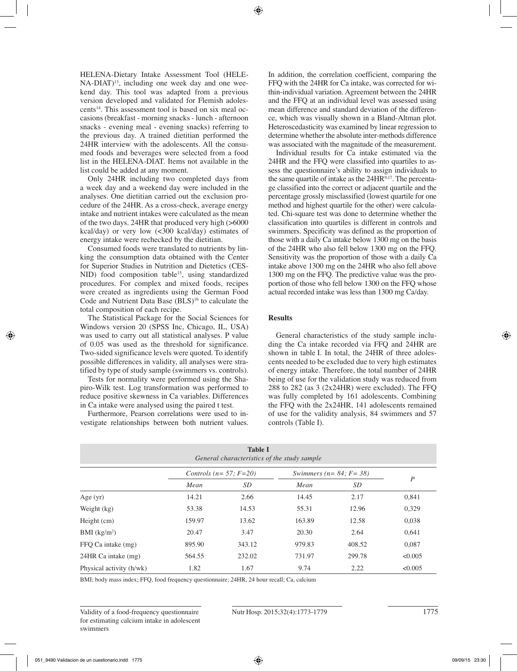HELENA-Dietary Intake Assessment Tool (HELE-NA-DIAT)<sup>13</sup>, including one week day and one weekend day. This tool was adapted from a previous version developed and validated for Flemish adolescents14. This assessment tool is based on six meal occasions (breakfast - morning snacks - lunch - afternoon snacks - evening meal - evening snacks) referring to the previous day. A trained dietitian performed the 24HR interview with the adolescents. All the consumed foods and beverages were selected from a food list in the HELENA-DIAT. Items not available in the list could be added at any moment.

Only 24HR including two completed days from a week day and a weekend day were included in the analyses. One dietitian carried out the exclusion procedure of the 24HR. As a cross-check, average energy intake and nutrient intakes were calculated as the mean of the two days. 24HR that produced very high (>6000 kcal/day) or very low (<300 kcal/day) estimates of energy intake were rechecked by the dietitian.

Consumed foods were translated to nutrients by linking the consumption data obtained with the Center for Superior Studies in Nutrition and Dietetics (CES-NID) food composition table<sup>15</sup>, using standardized procedures. For complex and mixed foods, recipes were created as ingredients using the German Food Code and Nutrient Data Base  $(BLS)^{16}$  to calculate the total composition of each recipe.

The Statistical Package for the Social Sciences for Windows version 20 (SPSS Inc, Chicago, IL, USA) was used to carry out all statistical analyses. P value of 0.05 was used as the threshold for significance. Two-sided significance levels were quoted. To identify possible differences in validity, all analyses were stratified by type of study sample (swimmers vs. controls).

Tests for normality were performed using the Shapiro-Wilk test. Log transformation was performed to reduce positive skewness in Ca variables. Differences in Ca intake were analysed using the paired t test.

Furthermore, Pearson correlations were used to investigate relationships between both nutrient values. In addition, the correlation coefficient, comparing the FFQ with the 24HR for Ca intake, was corrected for within-individual variation. Agreement between the 24HR and the FFQ at an individual level was assessed using mean difference and standard deviation of the difference, which was visually shown in a Bland-Altman plot. Heteroscedasticity was examined by linear regression to determine whether the absolute inter-methods difference was associated with the magnitude of the measurement.

Individual results for Ca intake estimated via the 24HR and the FFQ were classified into quartiles to assess the questionnaire's ability to assign individuals to the same quartile of intake as the  $24HR^{9,17}$ . The percentage classified into the correct or adjacent quartile and the percentage grossly misclassified (lowest quartile for one method and highest quartile for the other) were calculated. Chi-square test was done to determine whether the classification into quartiles is different in controls and swimmers. Specificity was defined as the proportion of those with a daily Ca intake below 1300 mg on the basis of the 24HR who also fell below 1300 mg on the FFQ. Sensitivity was the proportion of those with a daily Ca intake above 1300 mg on the 24HR who also fell above 1300 mg on the FFQ. The predictive value was the proportion of those who fell below 1300 on the FFQ whose actual recorded intake was less than 1300 mg Ca/day.

## **Results**

General characteristics of the study sample including the Ca intake recorded via FFQ and 24HR are shown in table I. In total, the 24HR of three adolescents needed to be excluded due to very high estimates of energy intake. Therefore, the total number of 24HR being of use for the validation study was reduced from 288 to 282 (as 3 (2x24HR) were excluded). The FFQ was fully completed by 161 adolescents. Combining the FFQ with the 2x24HR, 141 adolescents remained of use for the validity analysis, 84 swimmers and 57 controls (Table I).

| <b>Table I</b><br>General characteristics of the study sample |        |                                  |                                  |        |                  |  |  |
|---------------------------------------------------------------|--------|----------------------------------|----------------------------------|--------|------------------|--|--|
|                                                               |        | Controls ( $n = 57$ ; $F = 20$ ) | Swimmers ( $n = 84$ ; $F = 38$ ) |        |                  |  |  |
|                                                               | Mean   | SD                               | Mean                             | SD     | $\boldsymbol{P}$ |  |  |
| Age $(yr)$                                                    | 14.21  | 2.66                             | 14.45                            | 2.17   | 0,841            |  |  |
| Weight (kg)                                                   | 53.38  | 14.53                            | 55.31                            | 12.96  | 0,329            |  |  |
| Height (cm)                                                   | 159.97 | 13.62                            | 163.89                           | 12.58  | 0,038            |  |  |
| BMI $(kg/m2)$                                                 | 20.47  | 3.47                             | 20.30                            | 2.64   | 0,641            |  |  |
| FFO Ca intake (mg)                                            | 895.90 | 343.12                           | 979.83                           | 408.52 | 0,087            |  |  |
| 24HR Ca intake (mg)                                           | 564.55 | 232.02                           | 731.97                           | 299.78 | < 0.005          |  |  |
| Physical activity (h/wk)                                      | 1.82   | 1.67                             | 9.74                             | 2.22   | < 0.005          |  |  |

BMI; body mass index; FFQ, food frequency questionnaire; 24HR, 24 hour recall; Ca, calcium

Validity of a food-frequency questionnaire Nutr Hosp. 2015;32(4):1773-1779 1775 for estimating calcium intake in adolescent swimmers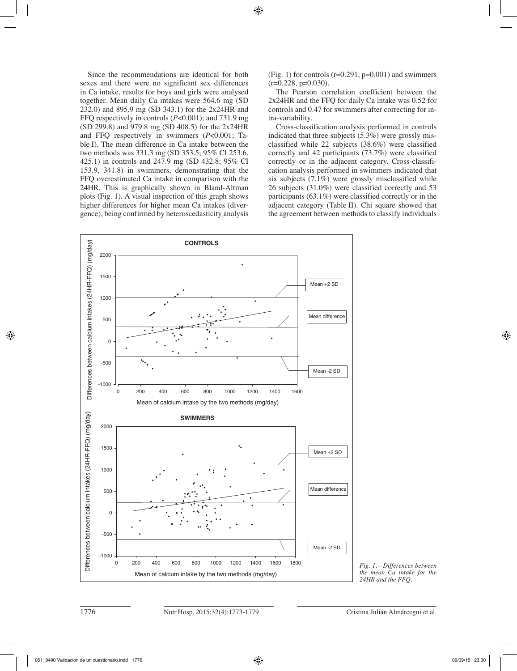Since the recommendations are identical for both sexes and there were no significant sex differences in Ca intake, results for boys and girls were analysed together. Mean daily Ca intakes were 564.6 mg (SD 232.0) and 895.9 mg (SD 343.1) for the 2x24HR and FFQ respectively in controls (*P*<0.001); and 731.9 mg (SD 299.8) and 979.8 mg (SD 408.5) for the 2x24HR and FFQ respectively in swimmers (*P*<0.001; Table I). The mean difference in Ca intake between the two methods was 331.3 mg (SD 353.5; 95% CI 253.6, 425.1) in controls and 247.9 mg (SD 432.8; 95% CI 153.9, 341.8) in swimmers, demonstrating that the FFQ overestimated Ca intake in comparison with the 24HR. This is graphically shown in Bland-Altman plots (Fig. 1). A visual inspection of this graph shows higher differences for higher mean Ca intakes (divergence), being confirmed by heteroscedasticity analysis (Fig. 1) for controls  $(r=0.291, p=0.001)$  and swimmers  $(r=0.228, p=0.030)$ .

The Pearson correlation coefficient between the 2x24HR and the FFQ for daily Ca intake was 0.52 for controls and 0.47 for swimmers after correcting for intra-variability.

Cross-classification analysis performed in controls indicated that three subjects (5.3%) were grossly misclassified while 22 subjects (38.6%) were classified correctly and 42 participants (73.7%) were classified correctly or in the adjacent category. Cross-classification analysis performed in swimmers indicated that six subjects (7.1%) were grossly misclassified while 26 subjects (31.0%) were classified correctly and 53 participants (63.1%) were classified correctly or in the adjacent category (Table II). Chi square showed that the agreement between methods to classify individuals



*Fig. 1.—Differences between the mean Ca intake for the 24HR and the FFQ.*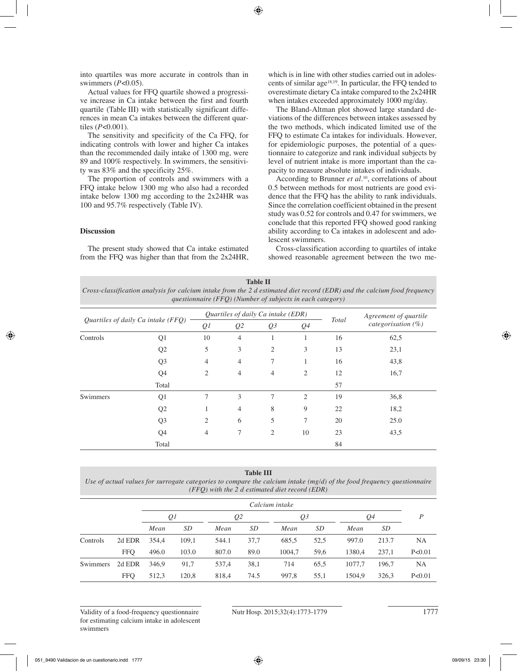into quartiles was more accurate in controls than in swimmers (*P*<0.05).

Actual values for FFQ quartile showed a progressive increase in Ca intake between the first and fourth quartile (Table III) with statistically significant differences in mean Ca intakes between the different quartiles (*P*<0.001).

The sensitivity and specificity of the Ca FFQ, for indicating controls with lower and higher Ca intakes than the recommended daily intake of 1300 mg, were 89 and 100% respectively. In swimmers, the sensitivity was 83% and the specificity 25%.

The proportion of controls and swimmers with a FFQ intake below 1300 mg who also had a recorded intake below 1300 mg according to the 2x24HR was 100 and 95.7% respectively (Table IV).

### **Discussion**

The present study showed that Ca intake estimated from the FFQ was higher than that from the 2x24HR, which is in line with other studies carried out in adolescents of similar age18,19. In particular, the FFQ tended to overestimate dietary Ca intake compared to the 2x24HR when intakes exceeded approximately 1000 mg/day.

The Bland-Altman plot showed large standard deviations of the differences between intakes assessed by the two methods, which indicated limited use of the FFQ to estimate Ca intakes for individuals. However, for epidemiologic purposes, the potential of a questionnaire to categorize and rank individual subjects by level of nutrient intake is more important than the capacity to measure absolute intakes of individuals.

According to Brunner *et al.*<sup>10</sup>, correlations of about 0.5 between methods for most nutrients are good evidence that the FFQ has the ability to rank individuals. Since the correlation coefficient obtained in the present study was 0.52 for controls and 0.47 for swimmers, we conclude that this reported FFQ showed good ranking ability according to Ca intakes in adolescent and adolescent swimmers.

Cross-classification according to quartiles of intake showed reasonable agreement between the two me-

**Table II** *Cross-classification analysis for calcium intake from the 2 d estimated diet record (EDR) and the calcium food frequency questionnaire (FFQ) (Number of subjects in each category)*

| Quartiles of daily Ca intake (FFQ) |                |                | Quartiles of daily Ca intake (EDR)                 |                |                | Agreement of quartile |      |
|------------------------------------|----------------|----------------|----------------------------------------------------|----------------|----------------|-----------------------|------|
|                                    |                | Q <sub>l</sub> | Q <sub>3</sub><br>Q <sub>2</sub><br>Q <sub>4</sub> |                | <b>Total</b>   | categorisation $(\%)$ |      |
| Controls                           | Q1             | 10             | $\overline{4}$                                     | 1              | 1              | 16                    | 62,5 |
|                                    | Q2             | 5              | 3                                                  | $\overline{2}$ | 3              | 13                    | 23,1 |
|                                    | Q <sub>3</sub> | $\overline{4}$ | $\overline{4}$                                     | 7              | 1              | 16                    | 43,8 |
|                                    | Q4             | $\mathfrak{2}$ | 4                                                  | $\overline{4}$ | $\overline{2}$ | 12                    | 16,7 |
|                                    | Total          |                |                                                    |                |                | 57                    |      |
| Swimmers                           | Q1             | 7              | 3                                                  | 7              | 2              | 19                    | 36,8 |
|                                    | Q <sub>2</sub> | 1              | 4                                                  | 8              | 9              | 22                    | 18,2 |
|                                    | Q <sub>3</sub> | $\overline{2}$ | 6                                                  | 5              | 7              | 20                    | 25.0 |
|                                    | Q <sub>4</sub> | $\overline{4}$ | 7                                                  | $\mathfrak{2}$ | 10             | 23                    | 43,5 |
|                                    | Total          |                |                                                    |                |                | 84                    |      |

#### **Table III**

*Use of actual values for surrogate categories to compare the calcium intake (mg/d) of the food frequency questionnaire (FFQ) with the 2 d estimated diet record (EDR)*

|          |            | Calcium intake       |       |       |      |        |      |        |       |          |
|----------|------------|----------------------|-------|-------|------|--------|------|--------|-------|----------|
|          |            | Ql<br>Q <sub>2</sub> |       |       | Q3   |        | Q4   |        | P     |          |
|          |            | Mean                 | SD    | Mean  | SD   | Mean   | SD   | Mean   | SD    |          |
| Controls | 2d EDR     | 354,4                | 109.1 | 544.1 | 37,7 | 685,5  | 52,5 | 997.0  | 213.7 | NA       |
|          | <b>FFO</b> | 496.0                | 103.0 | 807.0 | 89.0 | 1004.7 | 59,6 | 1380.4 | 237,1 | P < 0.01 |
| Swimmers | 2d EDR     | 346.9                | 91,7  | 537,4 | 38,1 | 714    | 65.5 | 1077.7 | 196.7 | NA       |
|          | <b>FFQ</b> | 512,3                | 120,8 | 818,4 | 74.5 | 997,8  | 55,1 | 1504.9 | 326,3 | P<0.01   |

Validity of a food-frequency questionnaire Nutr Hosp. 2015;32(4):1773-1779 1777 for estimating calcium intake in adolescent swimmers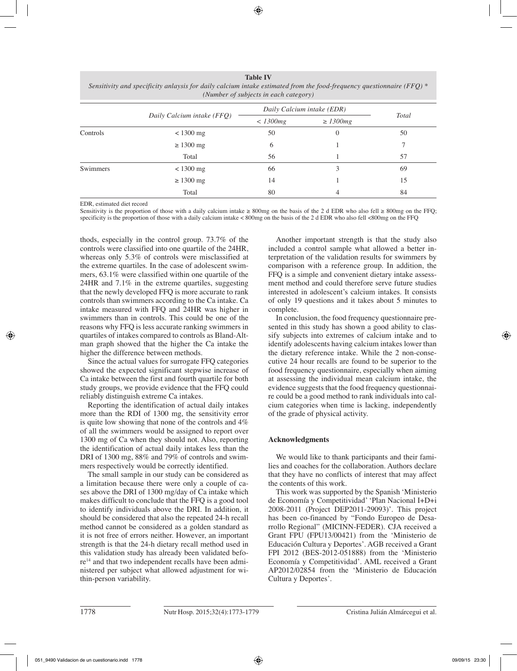**Table IV** *Sensitivity and specificity anlaysis for daily calcium intake estimated from the food-frequency questionnaire (FFQ) \* (Number of subjects in each category)*

|          |                            | Daily Calcium intake (EDR) |                |       |
|----------|----------------------------|----------------------------|----------------|-------|
|          | Daily Calcium intake (FFQ) | $<$ 1300 $mg$              | $\geq$ 1300mg  | Total |
| Controls | $<$ 1300 mg                | 50                         | $\overline{0}$ | 50    |
|          | $\geq 1300$ mg             | 6                          |                |       |
|          | Total                      | 56                         |                | 57    |
| Swimmers | $<$ 1300 mg                | 66                         | 3              | 69    |
|          | $\geq 1300$ mg             | 14                         |                | 15    |
|          | Total                      | 80                         | 4              | 84    |

EDR, estimated diet record

Sensitivity is the proportion of those with a daily calcium intake  $\geq 800$ mg on the basis of the 2 d EDR who also fell  $\geq 800$ mg on the FFO; specificity is the proportion of those with a daily calcium intake < 800mg on the basis of the 2 d EDR who also fell <800mg on the FFQ

thods, especially in the control group. 73.7% of the controls were classified into one quartile of the 24HR, whereas only 5.3% of controls were misclassified at the extreme quartiles. In the case of adolescent swimmers, 63.1% were classified within one quartile of the 24HR and 7.1% in the extreme quartiles, suggesting that the newly developed FFQ is more accurate to rank controls than swimmers according to the Ca intake. Ca intake measured with FFQ and 24HR was higher in swimmers than in controls. This could be one of the reasons why FFQ is less accurate ranking swimmers in quartiles of intakes compared to controls as Bland-Altman graph showed that the higher the Ca intake the higher the difference between methods.

Since the actual values for surrogate FFQ categories showed the expected significant stepwise increase of Ca intake between the first and fourth quartile for both study groups, we provide evidence that the FFQ could reliably distinguish extreme Ca intakes.

Reporting the identification of actual daily intakes more than the RDI of 1300 mg, the sensitivity error is quite low showing that none of the controls and 4% of all the swimmers would be assigned to report over 1300 mg of Ca when they should not. Also, reporting the identification of actual daily intakes less than the DRI of 1300 mg, 88% and 79% of controls and swimmers respectively would be correctly identified.

The small sample in our study can be considered as a limitation because there were only a couple of cases above the DRI of 1300 mg/day of Ca intake which makes difficult to conclude that the FFQ is a good tool to identify individuals above the DRI. In addition, it should be considered that also the repeated 24-h recall method cannot be considered as a golden standard as it is not free of errors neither. However, an important strength is that the 24-h dietary recall method used in this validation study has already been validated before<sup>14</sup> and that two independent recalls have been administered per subject what allowed adjustment for within-person variability.

Another important strength is that the study also included a control sample what allowed a better interpretation of the validation results for swimmers by comparison with a reference group. In addition, the FFQ is a simple and convenient dietary intake assessment method and could therefore serve future studies interested in adolescent's calcium intakes. It consists of only 19 questions and it takes about 5 minutes to complete.

In conclusion, the food frequency questionnaire presented in this study has shown a good ability to classify subjects into extremes of calcium intake and to identify adolescents having calcium intakes lower than the dietary reference intake. While the 2 non-consecutive 24 hour recalls are found to be superior to the food frequency questionnaire, especially when aiming at assessing the individual mean calcium intake, the evidence suggests that the food frequency questionnaire could be a good method to rank individuals into calcium categories when time is lacking, independently of the grade of physical activity.

## **Acknowledgments**

We would like to thank participants and their families and coaches for the collaboration. Authors declare that they have no conflicts of interest that may affect the contents of this work.

This work was supported by the Spanish 'Ministerio de Economía y Competitividad' 'Plan Nacional I+D+i 2008-2011 (Project DEP2011-29093)'. This project has been co-financed by "Fondo Europeo de Desarrollo Regional" (MICINN-FEDER). CJA received a Grant FPU (FPU13/00421) from the 'Ministerio de Educación Cultura y Deportes'. AGB received a Grant FPI 2012 (BES-2012-051888) from the 'Ministerio Economía y Competitividad'. AML received a Grant AP2012/02854 from the 'Ministerio de Educación Cultura y Deportes'.